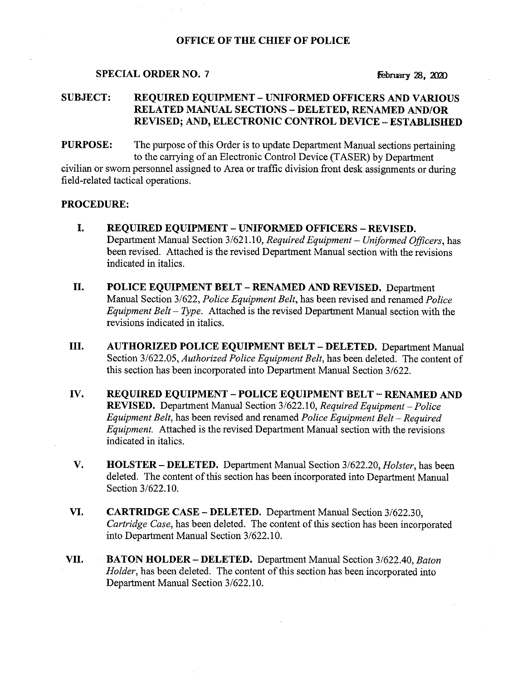### OFFICE OF THE CHIEF OF POLICE

#### SPECIAL ORDER NO. 7  $\qquad \qquad$  February 28, 2020

### SUBJECT: REQUIRED EQUIPMENT —UNIFORMED OFFICERS AND VARIOUS RELATED MANUAL SECTIONS —DELETED, RENAMED AND/OR REVISED; AND, ELECTRONIC CONTROL DEVICE —ESTABLISHED

**PURPOSE:** The purpose of this Order is to update Department Manual sections pertaining to the carrying of an Electronic Control Device (TASER) by Department civilian or sworn personnel assigned to Area or traffic division front desk assignments or during field-related tactical operations.

#### PROCEDURE:

- I. REQUIRED EQUIPMENT UNIFORMED OFFICERS REVISED. Department Manual Section 3/621.10, Required Equipment - Uniformed Officers, has been revised. Attached is the revised Department Manual section with the revisions indicated in italics.
- II. POLICE EQUIPMENT BELT RENAMED AND REVISED. Department Manual Section 3/622, Police Equipment Belt, has been revised and renamed Police Equipment Belt – Type. Attached is the revised Department Manual section with the revisions indicated in italics.
- III. AUTHORIZED POLICE EQUIPMENT BELT —DELETED. Department Manual Section 3/622.05, Authorized Police Equipment Belt, has been deleted. The content of this section has been incorporated into Department Manual Section 3/622.
- IV. REQUIRED EQUIPMENT —POLICE EQUIPMENT BELT —RENAMED AND REVISED. Department Manual Section 3/622.10, Required Equipment – Police Equipment Belt, has been revised and renamed Police Equipment Belt —Required Equipment. Attached is the revised Department Manual section with the revisions indicated in italics.
- V. HOLSTER DELETED. Department Manual Section 3/622.20, *Holster*, has been deleted. The content of this section has been incorporated into Department Manual Section 3/622.10.
- VI. CARTRIDGE CASE —DELETED. Department Manual Section 3/622.30, Cartridge Case, has been deleted. The content of this section has been incorporated into Department Manual Section 3/622.10.
- VII. BATON HOLDER DELETED. Department Manual Section 3/622.40, Baton Holder, has been deleted. The content of this section has been incorporated into Department Manual Section 3/622.10.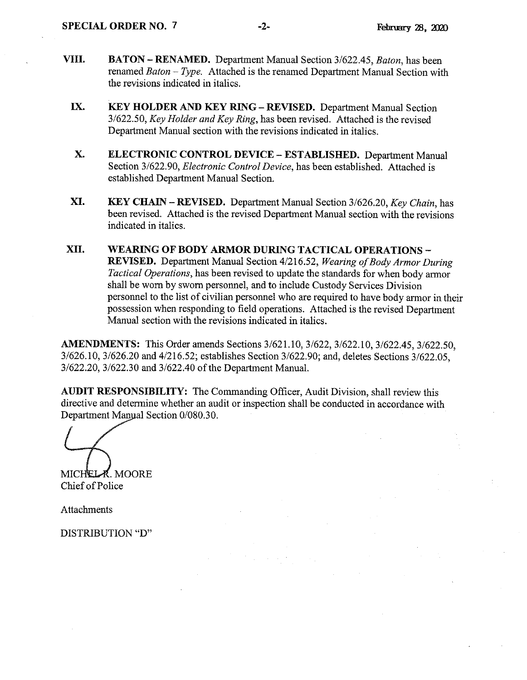- VIII. BATON RENAMED. Department Manual Section 3/622.45, Baton, has been renamed Baton —Type. Attached is the renamed Department Manual Section with the revisions indicated in italics.
	- IX. KEY HOLDER AND KEY RING —REVISED. Department Manual Section 3/622.50, Key Holder and Key Ring, has been revised. Attached is the revised Department Manual section with the revisions indicated in italics.
	- X. ELECTRONIC CONTROL DEVICE —ESTABLISHED. Department Manual Section 3/622.90, Electronic Control Device, has been established. Attached is established Department Manual Section.
	- XI. KEY CHAIN REVISED. Department Manual Section 3/626.20, Key Chain, has been revised. Attached is the revised Department Manual section with the revisions indicated in italics.
- XII. WEARING OF BODY ARMOR DURING TACTICAL OPERATIONS -REVISED. Department Manual Section 4/216.52, Wearing of Body Armor During Tactical Operations, has been revised to update the standards for when body armor shall be worn by sworn personnel, and to include Custody Services Division personnel to the list of civilian personnel who are required to have body armor in their possession when responding to field operations. Attached is the revised Department Manual section with the revisions indicated in italics.

AMENDMENTS: This Order amends Sections 3/621.10, 3/622, 3/622.10, 3/622.45, 3/622.50, 3/626.10, 3/626.20 and 4/216.52; establishes Section 3/622.90; and, deletes Sections 3/622.05, 3/622.20, 3/622.30 and 3/622.40 of the Department Manual.

AUDIT RESPONSIBILITY: The Commanding Officer, Audit Division, shall review this directive and determine whether an audit or inspection shall be conducted in accordance with Department Manyal Section 0/080.30.

MICHEL **R**. MOORE Chief of Police

Attachments

DISTRIBUTION "D"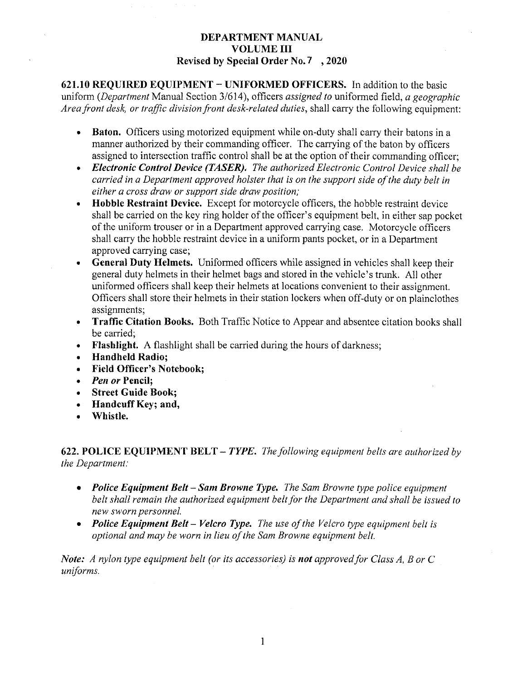### DEPARTMENT MANUAL VOLUME III Revised by Special Order No.7 , 2020

621,10 REQUIRED EQUIPMENT —UNIFORMED OFFICERS. In addition to the basic uniform (Department Manual Section  $3/614$ ), officers assigned to uniformed field, a geographic Area front desk, or traffic division front desk-related duties, shall carry the following equipment:

- Baton. Officers using motorized equipment while on-duty shall carry their batons in a  $\bullet$  . manner authorized by their commanding officer. The carrying of the baton by officers assigned to intersection traffic control shall be at the option of their commanding officer;
- Electronic Control Device (TASER). The authorized Electronic Control Device shall be carried in a Department approved holster that is on the support side of the duty belt in either a cross draw or support side draw position;
- Hobble Restraint Device. Except for motorcycle officers, the hobble restraint device shall be carried on the key ring holder of the officer's equipment belt, in either sap pocket of the uniform trouser or in a Department approved carrying case. Motorcycle officers shall carry the hobble restraint device in a uniform pants pocket, or in a Department approved carrying case;
- General Duty Helmets. Uniformed officers while assigned in vehicles shall keep their general duty helmets in their helmet bags and stored in the vehicle's trunk. All other uniformed officers shall keep their helmets at locations convenient to their assignment. Officers shall store their helmets in their station lockers when off-duty or on plainclothes assignments;
- Traffic Citation Books. Both Traffic Notice to Appear and absentee citation books shall be carried;
- Flashlight. A flashlight shall be carried during the hours of darkness;
- Handheld Radio;
- Field Officer's Notebook;
- Pen or Pencil;
- Street Guide Book;
- Handcuff Key; and,
- Whistle.

622. POLICE EQUIPMENT BELT – TYPE. The following equipment belts are authorized by the Department:

- Police Equipment Belt Sam Browne Type. The Sam Browne type police equipment belt shall remain the authorized equipment belt for the Department and shall be issued to new sworn personnel.
- Police Equipment Belt Velcro Type. The use of the Velcro type equipment belt is optional and may be worn in lieu of the Sam Browne equipment belt.

Note: A nylon type equipment belt (or its accessories) is not approved for Class A, B or C uniforms.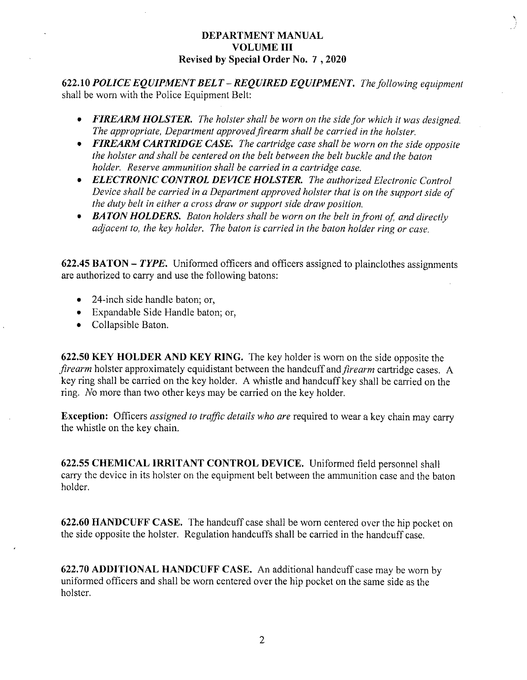#### DEPARTMENT MANUAL VOLUME III Revised by Special Order No. 7 , 2020

622.10 POLICE EQUIPMENT BELT – REQUIRED EQUIPMENT. The following equipment shall be worn with the Police Equipment Selt:

- FIREARM HOLSTER. The holster shall be worn on the side for which it was designed. The appropriate, Department approved firearm shall be carried in the holster.
- FIREARM CARTRIDGE CASE. The cartridge case shall be worn on the side opposite the holster and shall be centered on the belt between the belt buckle and the baton holder. Reserve ammunition shall be carried in a cartridge case.
- ELECTRONIC CONTROL DEVICE HOLSTER. The authorized Electronic Control Device shall be carried in a Department approved holster that is on the support side of the duty belt in either a cross draw or support side draw position.
- BATON HOLDERS. Baton holders shall be worn on the belt in front of, and directly adjacent to, the key holder. The baton is carried in the baton holder ring or case.

622.45 BATON – TYPE. Uniformed officers and officers assigned to plainclothes assignments are authorized to carry and use the following batons:

- 24-inch side handle baton; or,
- Expandable Side Handle baton; or,
- Collapsible Baton.

622.50 KEY HOLDER AND KEY RING. The key holder is worn on the side opposite the firearm holster approximately equidistant between the handcuff and *firearm* cartridge cases. A key ring shall be carried on the key holder. A whistle and handcuff key shall be carried on the ring. No more than two other keys may be carried on the key holder.

**Exception:** Officers *assigned to traffic details who are* required to wear a key chain may carry the whistle on the key chain.

622.55 CHEMICAL IRRITANT CONTROL DEVICE. Uniformed field personnel shall carry the device in its holster on the equipment belt between the ammunition case and the baton holder.

622.60 HANDCUFF CASE. The handcuff case shall be worn centered over the hip pocket on the side opposite the holster. Regulation handcuffs shall be carried in the handcuff case.

622.70 ADDITIONAL HANDCUFF CASE. An additional handcuff case may be worn by uniformed officers and shall be worn centered over the hip pocket on the same side as the holster.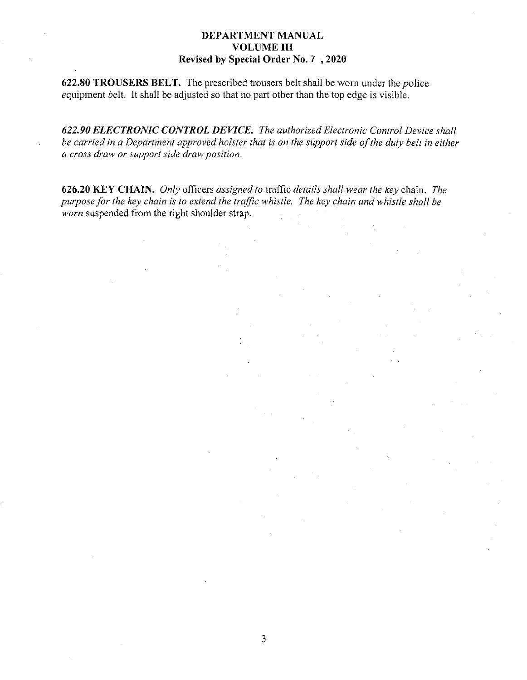### DEPARTMENT MANUAL VOLUME III Revised by Special Order No. 7 , 2020

622.80 TROUSERS BELT. The prescribed trousers belt shall be worn under the police equipment belt. It shall be adjusted so that no part other than the top edge is visible.

622.90 ELECTRONIC CONTROL DEVICE. The authorized Electronic Control Device shall be carried in a Department approved holster that is on the support side of the duty belt in either a cross draw or support side draw position.

626.20 KEY CHAIN. Only officers assigned to traffic details shall wear the key chain. The purpose for the key chain is to extend the traffic whistle. The key chain and whistle shall he worn suspended from the right shoulder strap.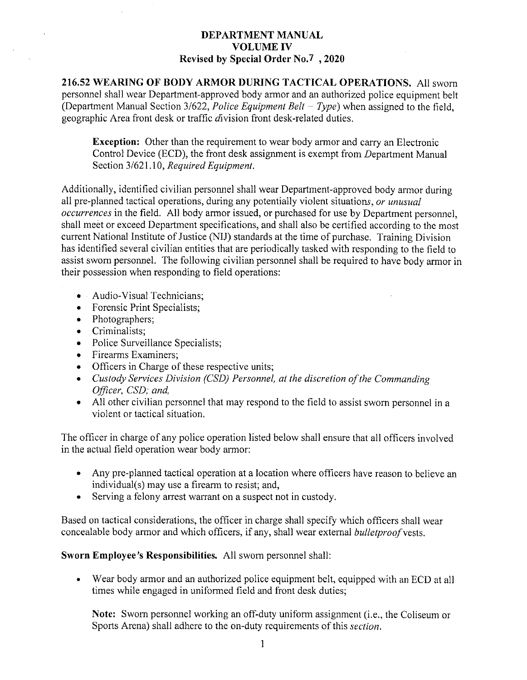## DEPARTMENT MANUAL VOLUME IV Revised by Special Order No.7, 2020

216.52 WEARING OF BODY ARMOR DURING TACTICAL OPERATIONS. All sworn personnel shall wear Department-approved body armor and an authorized police equipment belt (Department Manual Section 3/622, *Police Equipment Belt – Type*) when assigned to the field, geographic Area front desk or traffic division front desk-related duties.

Exception: Other than the requirement to wear body armor and carry an Electronic Control Device (ECD), the front desk assignment is exempt from Department Manual Section 3/621.10, Required Equipment.

Additionally, identified civilian personnel shall wear Department-approved body armor during all pre-planned tactical operations, during any potentially violent situations, or unusual occurrences in the field. All body armor issued, or purchased for use by Department personnel, shall meet or exceed Department specifications, and shall also be certified according to the most current National Institute of Justice (NIJ) standards at the time of purchase. Training Division has identified several civilian entities that are periodically tasked with responding to the field to assist sworn personnel. The following civilian personnel shall be required to have body armor in their possession when responding to field operations:

- $\bullet$  Audio-Visual Technicians;
- Forensic Print Specialists;
- Photographers;
- Criminalists;
- Police Surveillance Specialists;
- Firearms Examiners;
- Officers in Charge of these respective units;
- Custody Services Division (CSD) Personnel, at the discretion of the Commanding Officer, CSD; and,
- All other civilian personnel that may respond to the field to assist sworn personnel in a violent or tactical situation.

The officer in charge of any police operation listed below shall ensure that all officers involved in the actual field operation wear body armor:

- Any pre-planned tactical operation at a location where officers have reason to believe an individual(s) may use a firearm to resist; and,
- Serving a felony arrest warrant on a suspect not in custody.

Based on tactical considerations, the officer in charge shall specify which officers shall wear concealable body armor and which officers, if any, shall wear external *bulletproof* vests.

Sworn Employee's Responsibilities. All sworn personnel shall:

Wear body armor and an authorized police equipment belt, equipped with an ECD at all  $\bullet$  . times while engaged in uniformed field and front desk duties;

Note: Sworn personnel working an off-duty uniform assignment (i.e., the Coliseum or Sports Arena) shall adhere to the on-duty requirements of this section.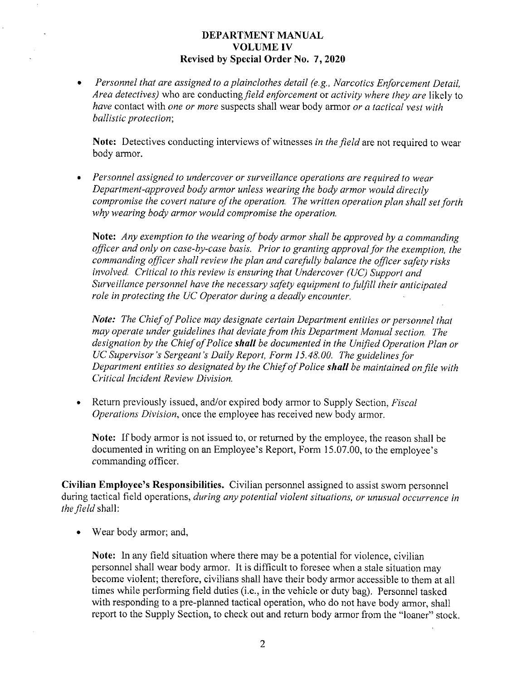#### DEPARTMENT MANUAL VOLUMEIV Revised by Special Order No. 7, 2020

Personnel that are assigned to a plainclothes detail (e.g., Narcotics Enforcement Detail, Area detectives) who are conducting field enforcement or activity where they are likely to have contact with one or more suspects shall wear body armor or a tactical vest with ballistic protection;

Note: Detectives conducting interviews of witnesses in the field are not required to wear body armor.

• Personnel assigned to undercover or surveillance operations are required to wear Department-approved body armor unless wearing the body armor would directly compromise the covert nature of the operation. The written operation plan shall set forth why wearing body armor would compromise the operation.

Note: Any exemption to the wearing of body armor shall be approved by a commanding officer and only on case-by-case basis. Prior to granting approval for the exemption, the commanding officer shall review the plan and carefully balance the officer safety risks involved. Critical to this review is ensuring that Undercover (UC) Support and Surveillance personnel have the necessary safety equipment to fulfill their anticipated role in protecting the UC Operator during a deadly encounter.

Note: The Chief of Police may designate certain Department entities or personnel that may operate under guidelines that deviate from this Department Manual section. The designation by the Chief of Police shall be documented in the Unified Operation Plan or UC Supervisor's Sergeant's Daily Report, Form 15.48.00. The guidelines for Department entities so designated by the Chief of Police shall be maintained on file with Critical Incident Review Division.

Return previously issued, and/or expired body armor to Supply Section, *Fiscal* Operations Division, once the employee has received new body armor.

Note: If body armor is not issued to, or returned by the employee, the reason shall be documented in writing on an Employee's Report, Form 15.07.00, to the employee's commanding officer.

Civilian Employee's Responsibilities. Civilian personnel assigned to assist sworn personnel during tactical field operations, during any potential violent situations, or unusual occurrence in the field shall:

• Wear body armor; and,

Note: In any field situation where there may be a potential for violence, civilian personnel shall wear body armor. It is difficult to foresee when a stale situation may become violent; therefore, civilians shall have their body armor accessible to them at all times while performing field duties (i.e., in the vehicle or duty bag). Personnel tasked with responding to a pre-planned tactical operation, who do not have body armor, shall report to the Supply Section, to check out and return body armor from the "loaner" stock.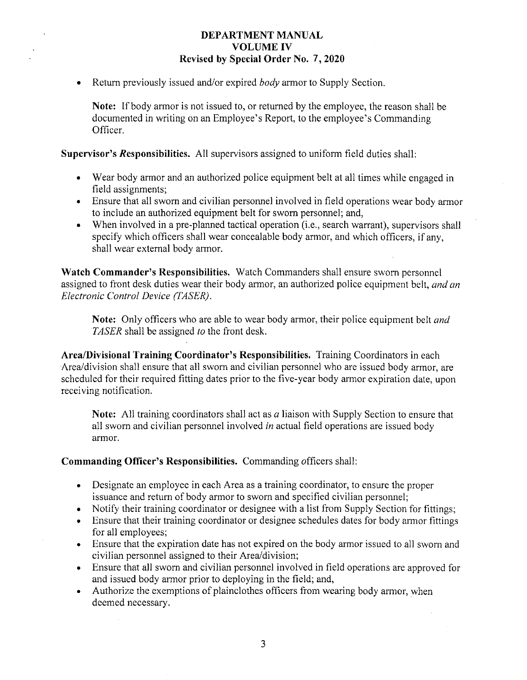## DEPARTMENT MANUAL VOLUMEIV Revised by Special Order No. 7, 2020

Return previously issued and/or expired *body* armor to Supply Section.

Note: If body armor is not issued to, or returned by the employee, the reason shall be documented in writing on an Employee's Report, to the employee's Commanding Officer.

Supervisor's Responsibilities. All supervisors assigned to uniform field duties shall:

- Wear body armor and an authorized police equipment belt at all times while engaged in field assignments;
- Ensure that all sworn and civilian personnel involved in field operations wear body armor to include an authorized equipment belt for sworn personnel; and,
- When involved in a pre-planned tactical operation (i.e., search warrant), supervisors shall specify which officers shall wear concealable body armor, and which officers, if any, shall wear external body armor.

Watch Commander's Responsibilities. Watch Commanders shall ensure sworn personnel assigned to front desk duties wear their body armor, an authorized police equipment belt, and an Electronic Control Device (TASER).

Note: Only officers who are able to wear body armor, their police equipment belt *and* TASER shall be assigned to the front desk.

Area/Divisional Training Coordinator's Responsibilities. Training Coordinators in each Area/division shall ensure that all sworn and civilian personnel who are issued body armor, are scheduled for their required fitting dates prior to the five-year body armor expiration date, upon receiving notification.

**Note:** All training coordinators shall act as  $a$  liaison with Supply Section to ensure that all sworn and civilian personnel involved in actual field operations are issued body armor.

### Commanding Officer's Responsibilities. Commanding officers shall:

- Designate an employee in each Area as a training coordinator, to ensure the proper issuance and return of body armor to sworn and specified civilian personnel;
- Notify their training coordinator or designee with a list from Supply Section for fittings;
- Ensure that their training coordinator or designee schedules dates for body armor fittings for all employees;
- Ensure that the expiration date has not expired on the body armor issued to all sworn and civilian personnel assigned to their Area/division;
- Ensure that all sworn and civilian personnel involved in field operations are approved for and issued body armor prior to deploying in the field; and,
- $\bullet$ Authorize the exemptions of plainclothes officers from wearing body armor, when deemed necessary.